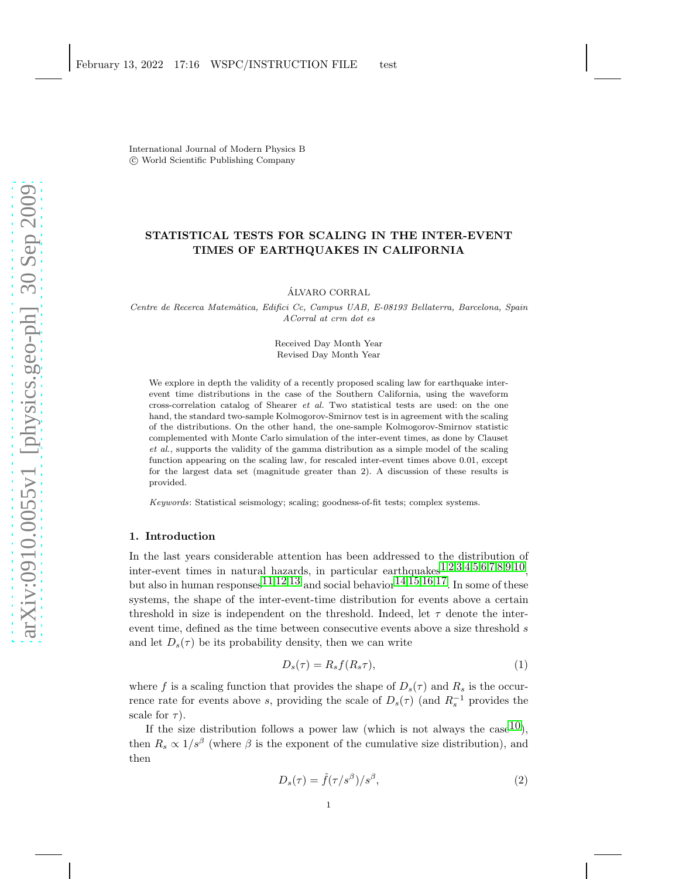International Journal of Modern Physics B c World Scientific Publishing Company

# STATISTICAL TESTS FOR SCALING IN THE INTER-EVENT TIMES OF EARTHQUAKES IN CALIFORNIA

ALVARO CORRAL ´

Centre de Recerca Matem`atica, Edifici Cc, Campus UAB, E-08193 Bellaterra, Barcelona, Spain ACorral at crm dot es

> Received Day Month Year Revised Day Month Year

We explore in depth the validity of a recently proposed scaling law for earthquake interevent time distributions in the case of the Southern California, using the waveform cross-correlation catalog of Shearer et al. Two statistical tests are used: on the one hand, the standard two-sample Kolmogorov-Smirnov test is in agreement with the scaling of the distributions. On the other hand, the one-sample Kolmogorov-Smirnov statistic complemented with Monte Carlo simulation of the inter-event times, as done by Clauset et al., supports the validity of the gamma distribution as a simple model of the scaling function appearing on the scaling law, for rescaled inter-event times above 0.01, except for the largest data set (magnitude greater than 2). A discussion of these results is provided.

Keywords: Statistical seismology; scaling; goodness-of-fit tests; complex systems.

## 1. Introduction

In the last years considerable attention has been addressed to the distribution of inter-event times in natural hazards, in particular earthquakes $1,2,3,4,5,6,7,8,9,10$  $1,2,3,4,5,6,7,8,9,10$  $1,2,3,4,5,6,7,8,9,10$  $1,2,3,4,5,6,7,8,9,10$  $1,2,3,4,5,6,7,8,9,10$  $1,2,3,4,5,6,7,8,9,10$  $1,2,3,4,5,6,7,8,9,10$  $1,2,3,4,5,6,7,8,9,10$  $1,2,3,4,5,6,7,8,9,10$  $1,2,3,4,5,6,7,8,9,10$  $1,2,3,4,5,6,7,8,9,10$  $1,2,3,4,5,6,7,8,9,10$  $1,2,3,4,5,6,7,8,9,10$  $1,2,3,4,5,6,7,8,9,10$  $1,2,3,4,5,6,7,8,9,10$  $1,2,3,4,5,6,7,8,9,10$  $1,2,3,4,5,6,7,8,9,10$  $1,2,3,4,5,6,7,8,9,10$ , but also in human responses  $11,12,13$  $11,12,13$  $11,12,13$  $11,12,13$  $11,12,13$  and social behavior  $14,15,16,17$  $14,15,16,17$  $14,15,16,17$  $14,15,16,17$  $14,15,16,17$  $14,15,16,17$ . In some of these systems, the shape of the inter-event-time distribution for events above a certain threshold in size is independent on the threshold. Indeed, let  $\tau$  denote the interevent time, defined as the time between consecutive events above a size threshold s and let  $D_s(\tau)$  be its probability density, then we can write

<span id="page-0-0"></span>
$$
D_s(\tau) = R_s f(R_s \tau),\tag{1}
$$

where f is a scaling function that provides the shape of  $D_s(\tau)$  and  $R_s$  is the occurrence rate for events above s, providing the scale of  $D_s(\tau)$  (and  $R_s^{-1}$  provides the scale for  $\tau$ ).

If the size distribution follows a power law (which is not always the case  $10$ ), then  $R_s \propto 1/s^{\beta}$  (where  $\beta$  is the exponent of the cumulative size distribution), and then

$$
D_s(\tau) = \hat{f}(\tau/s^\beta)/s^\beta,
$$
\n(2)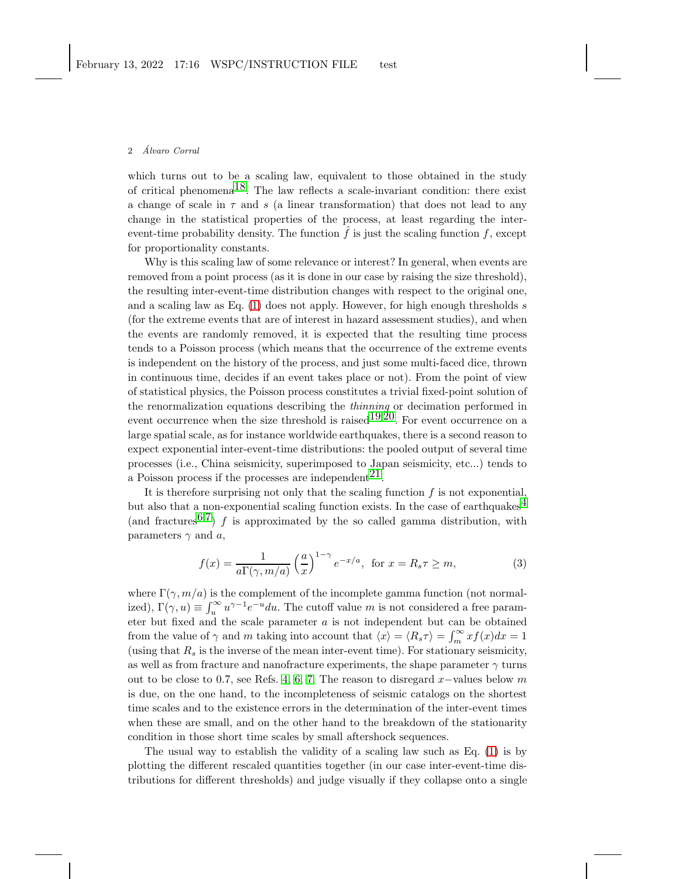#### 2 Alvaro Corral ´

which turns out to be a scaling law, equivalent to those obtained in the study of critical phenomena<sup>18</sup>. The law reflects a scale-invariant condition: there exist a change of scale in  $\tau$  and s (a linear transformation) that does not lead to any change in the statistical properties of the process, at least regarding the interevent-time probability density. The function  $\hat{f}$  is just the scaling function  $\hat{f}$ , except for proportionality constants.

Why is this scaling law of some relevance or interest? In general, when events are removed from a point process (as it is done in our case by raising the size threshold), the resulting inter-event-time distribution changes with respect to the original one, and a scaling law as Eq.  $(1)$  does not apply. However, for high enough thresholds s (for the extreme events that are of interest in hazard assessment studies), and when the events are randomly removed, it is expected that the resulting time process tends to a Poisson process (which means that the occurrence of the extreme events is independent on the history of the process, and just some multi-faced dice, thrown in continuous time, decides if an event takes place or not). From the point of view of statistical physics, the Poisson process constitutes a trivial fixed-point solution of the renormalization equations describing the thinning or decimation performed in event occurrence when the size threshold is raised  $19,20$ . For event occurrence on a large spatial scale, as for instance worldwide earthquakes, there is a second reason to expect exponential inter-event-time distributions: the pooled output of several time processes (i.e., China seismicity, superimposed to Japan seismicity, etc...) tends to a Poisson process if the processes are independent  $2<sup>1</sup>$ .

It is therefore surprising not only that the scaling function  $f$  is not exponential, but also that a non-exponential scaling function exists. In the case of earthquakes<sup>[4](#page-9-1)</sup> (and fractures  $6.7$  $6.7$ ) f is approximated by the so called gamma distribution, with parameters  $\gamma$  and a,

<span id="page-1-0"></span>
$$
f(x) = \frac{1}{a\Gamma(\gamma, m/a)} \left(\frac{a}{x}\right)^{1-\gamma} e^{-x/a}, \text{ for } x = R_s \tau \ge m,
$$
 (3)

where  $\Gamma(\gamma, m/a)$  is the complement of the incomplete gamma function (not normalized),  $\Gamma(\gamma, u) \equiv \int_u^\infty u^{\gamma - 1} e^{-u} du$ . The cutoff value m is not considered a free parameter but fixed and the scale parameter a is not independent but can be obtained from the value of  $\gamma$  and m taking into account that  $\langle x \rangle = \langle R_s \tau \rangle = \int_m^{\infty} x f(x) dx = 1$ (using that  $R_s$  is the inverse of the mean inter-event time). For stationary seismicity, as well as from fracture and nanofracture experiments, the shape parameter  $\gamma$  turns out to be close to 0.7, see Refs. [4,](#page-9-1) [6,](#page-9-3) [7.](#page-9-4) The reason to disregard  $x$ -values below m is due, on the one hand, to the incompleteness of seismic catalogs on the shortest time scales and to the existence errors in the determination of the inter-event times when these are small, and on the other hand to the breakdown of the stationarity condition in those short time scales by small aftershock sequences.

The usual way to establish the validity of a scaling law such as Eq. [\(1\)](#page-0-0) is by plotting the different rescaled quantities together (in our case inter-event-time distributions for different thresholds) and judge visually if they collapse onto a single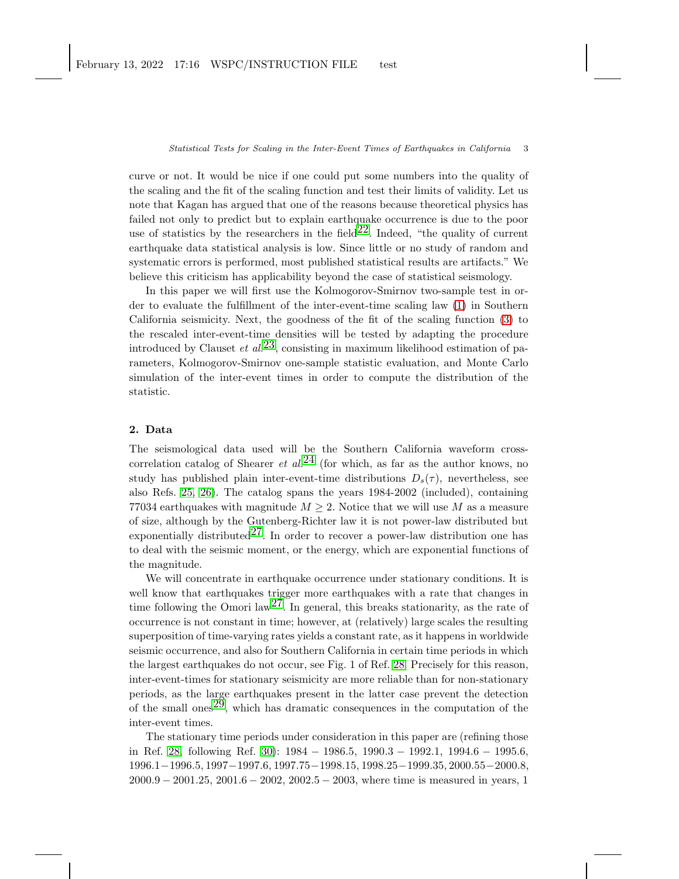curve or not. It would be nice if one could put some numbers into the quality of the scaling and the fit of the scaling function and test their limits of validity. Let us note that Kagan has argued that one of the reasons because theoretical physics has failed not only to predict but to explain earthquake occurrence is due to the poor use of statistics by the researchers in the field  $22$ . Indeed, "the quality of current" earthquake data statistical analysis is low. Since little or no study of random and systematic errors is performed, most published statistical results are artifacts." We believe this criticism has applicability beyond the case of statistical seismology.

In this paper we will first use the Kolmogorov-Smirnov two-sample test in order to evaluate the fulfillment of the inter-event-time scaling law [\(1\)](#page-0-0) in Southern California seismicity. Next, the goodness of the fit of the scaling function [\(3\)](#page-1-0) to the rescaled inter-event-time densities will be tested by adapting the procedure introduced by Clauset et  $al^{23}$ , consisting in maximum likelihood estimation of parameters, Kolmogorov-Smirnov one-sample statistic evaluation, and Monte Carlo simulation of the inter-event times in order to compute the distribution of the statistic.

## 2. Data

The seismological data used will be the Southern California waveform crosscorrelation catalog of Shearer *et al.*<sup>[24](#page-11-5)</sup> (for which, as far as the author knows, no study has published plain inter-event-time distributions  $D_s(\tau)$ , nevertheless, see also Refs. [25,](#page-11-6) [26\)](#page-11-7). The catalog spans the years 1984-2002 (included), containing 77034 earthquakes with magnitude  $M \geq 2$ . Notice that we will use M as a measure of size, although by the Gutenberg-Richter law it is not power-law distributed but exponentially distributed<sup>27</sup>. In order to recover a power-law distribution one has to deal with the seismic moment, or the energy, which are exponential functions of the magnitude.

We will concentrate in earthquake occurrence under stationary conditions. It is well know that earthquakes trigger more earthquakes with a rate that changes in time following the Omori law<sup>27</sup>. In general, this breaks stationarity, as the rate of occurrence is not constant in time; however, at (relatively) large scales the resulting superposition of time-varying rates yields a constant rate, as it happens in worldwide seismic occurrence, and also for Southern California in certain time periods in which the largest earthquakes do not occur, see Fig. 1 of Ref. [28.](#page-11-9) Precisely for this reason, inter-event-times for stationary seismicity are more reliable than for non-stationary periods, as the large earthquakes present in the latter case prevent the detection of the small ones<sup>29</sup>, which has dramatic consequences in the computation of the inter-event times.

The stationary time periods under consideration in this paper are (refining those in Ref. [28,](#page-11-9) following Ref. [30\)](#page-11-11): 1984 − 1986.5, 1990.3 − 1992.1, 1994.6 − 1995.6, 1996.1−1996.5, 1997−1997.6, 1997.75−1998.15, 1998.25−1999.35, 2000.55−2000.8, 2000.9 − 2001.25, 2001.6 − 2002, 2002.5 − 2003, where time is measured in years, 1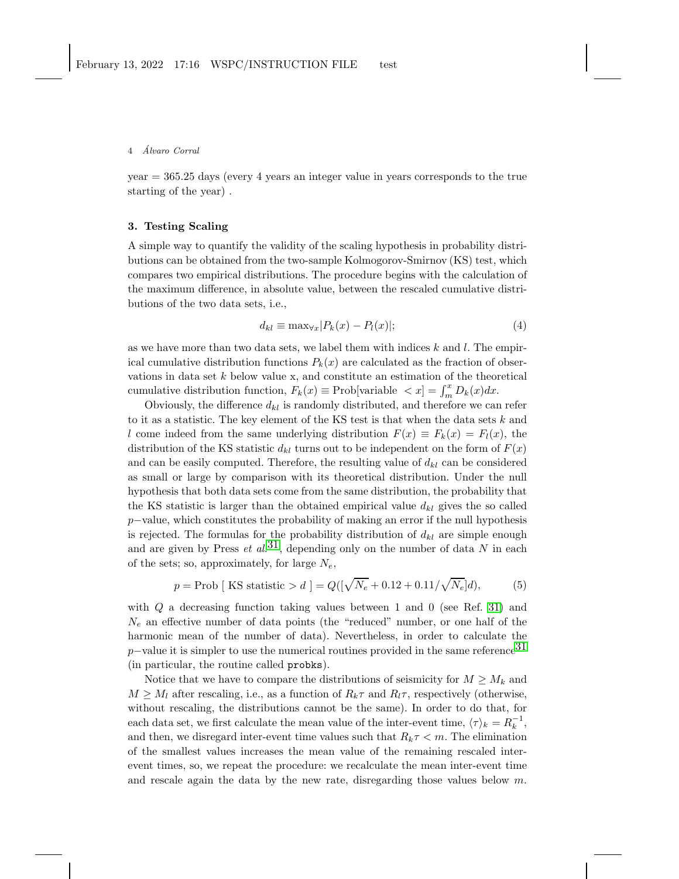#### 4 Alvaro Corral ´

year = 365.25 days (every 4 years an integer value in years corresponds to the true starting of the year) .

## 3. Testing Scaling

A simple way to quantify the validity of the scaling hypothesis in probability distributions can be obtained from the two-sample Kolmogorov-Smirnov (KS) test, which compares two empirical distributions. The procedure begins with the calculation of the maximum difference, in absolute value, between the rescaled cumulative distributions of the two data sets, i.e.,

$$
d_{kl} \equiv \max_{\forall x} |P_k(x) - P_l(x)|;
$$
\n(4)

as we have more than two data sets, we label them with indices  $k$  and  $l$ . The empirical cumulative distribution functions  $P_k(x)$  are calculated as the fraction of observations in data set k below value x, and constitute an estimation of the theoretical cumulative distribution function,  $F_k(x) \equiv \text{Prob}[\text{variable } < x] = \int_m^x D_k(x) dx$ .

Obviously, the difference  $d_{kl}$  is randomly distributed, and therefore we can refer to it as a statistic. The key element of the KS test is that when the data sets  $k$  and l come indeed from the same underlying distribution  $F(x) \equiv F_k(x) = F_l(x)$ , the distribution of the KS statistic  $d_{kl}$  turns out to be independent on the form of  $F(x)$ and can be easily computed. Therefore, the resulting value of  $d_{kl}$  can be considered as small or large by comparison with its theoretical distribution. Under the null hypothesis that both data sets come from the same distribution, the probability that the KS statistic is larger than the obtained empirical value  $d_{kl}$  gives the so called p−value, which constitutes the probability of making an error if the null hypothesis is rejected. The formulas for the probability distribution of  $d_{kl}$  are simple enough and are given by Press *et al.*<sup>31</sup>, depending only on the number of data N in each of the sets; so, approximately, for large  $N_e$ ,

<span id="page-3-0"></span>
$$
p = \text{Prob} \left[ \text{KS statistic} > d \right] = Q\left( \left[ \sqrt{N_e} + 0.12 + 0.11 / \sqrt{N_e} \right] d \right),
$$
 (5)

with  $Q$  a decreasing function taking values between 1 and 0 (see Ref. [31\)](#page-11-12) and  $N_e$  an effective number of data points (the "reduced" number, or one half of the harmonic mean of the number of data). Nevertheless, in order to calculate the p–value it is simpler to use the numerical routines provided in the same reference<sup>[31](#page-11-12)</sup> (in particular, the routine called probks).

Notice that we have to compare the distributions of seismicity for  $M \geq M_k$  and  $M \geq M_l$  after rescaling, i.e., as a function of  $R_k \tau$  and  $R_l \tau$ , respectively (otherwise, without rescaling, the distributions cannot be the same). In order to do that, for each data set, we first calculate the mean value of the inter-event time,  $\langle \tau \rangle_k = R_k^{-1}$ , and then, we disregard inter-event time values such that  $R_k \tau \leq m$ . The elimination of the smallest values increases the mean value of the remaining rescaled interevent times, so, we repeat the procedure: we recalculate the mean inter-event time and rescale again the data by the new rate, disregarding those values below  $m$ .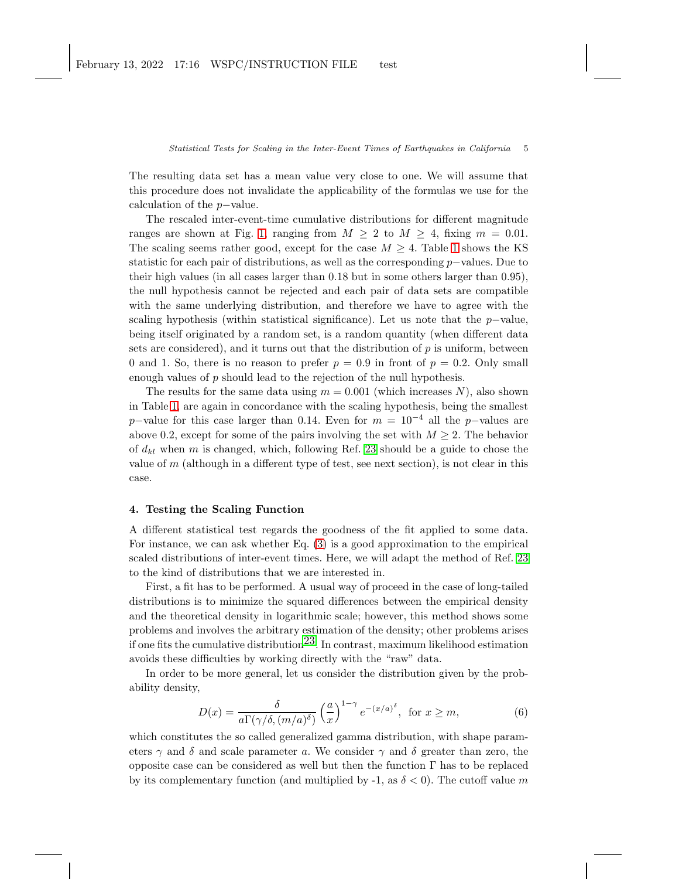The resulting data set has a mean value very close to one. We will assume that this procedure does not invalidate the applicability of the formulas we use for the calculation of the p−value.

The rescaled inter-event-time cumulative distributions for different magnitude ranges are shown at Fig. [1,](#page-9-13) ranging from  $M \geq 2$  to  $M \geq 4$ , fixing  $m = 0.01$ . The scaling seems rather good, except for the case  $M \geq 4$ . Table [1](#page-12-0) shows the KS statistic for each pair of distributions, as well as the corresponding p−values. Due to their high values (in all cases larger than 0.18 but in some others larger than 0.95), the null hypothesis cannot be rejected and each pair of data sets are compatible with the same underlying distribution, and therefore we have to agree with the scaling hypothesis (within statistical significance). Let us note that the  $p$ -value, being itself originated by a random set, is a random quantity (when different data sets are considered), and it turns out that the distribution of  $p$  is uniform, between 0 and 1. So, there is no reason to prefer  $p = 0.9$  in front of  $p = 0.2$ . Only small enough values of p should lead to the rejection of the null hypothesis.

The results for the same data using  $m = 0.001$  (which increases N), also shown in Table [1,](#page-12-0) are again in concordance with the scaling hypothesis, being the smallest p–value for this case larger than 0.14. Even for  $m = 10^{-4}$  all the p–values are above 0.2, except for some of the pairs involving the set with  $M \geq 2$ . The behavior of  $d_{kl}$  when m is changed, which, following Ref. [23](#page-11-4) should be a guide to chose the value of  $m$  (although in a different type of test, see next section), is not clear in this case.

### 4. Testing the Scaling Function

A different statistical test regards the goodness of the fit applied to some data. For instance, we can ask whether Eq. [\(3\)](#page-1-0) is a good approximation to the empirical scaled distributions of inter-event times. Here, we will adapt the method of Ref. [23](#page-11-4) to the kind of distributions that we are interested in.

First, a fit has to be performed. A usual way of proceed in the case of long-tailed distributions is to minimize the squared differences between the empirical density and the theoretical density in logarithmic scale; however, this method shows some problems and involves the arbitrary estimation of the density; other problems arises if one fits the cumulative distribution<sup>23</sup>. In contrast, maximum likelihood estimation avoids these difficulties by working directly with the "raw" data.

In order to be more general, let us consider the distribution given by the probability density,

<span id="page-4-0"></span>
$$
D(x) = \frac{\delta}{a\Gamma(\gamma/\delta, (m/a)^{\delta})} \left(\frac{a}{x}\right)^{1-\gamma} e^{-(x/a)^{\delta}}, \text{ for } x \ge m,
$$
 (6)

which constitutes the so called generalized gamma distribution, with shape parameters  $\gamma$  and  $\delta$  and scale parameter a. We consider  $\gamma$  and  $\delta$  greater than zero, the opposite case can be considered as well but then the function Γ has to be replaced by its complementary function (and multiplied by -1, as  $\delta < 0$ ). The cutoff value m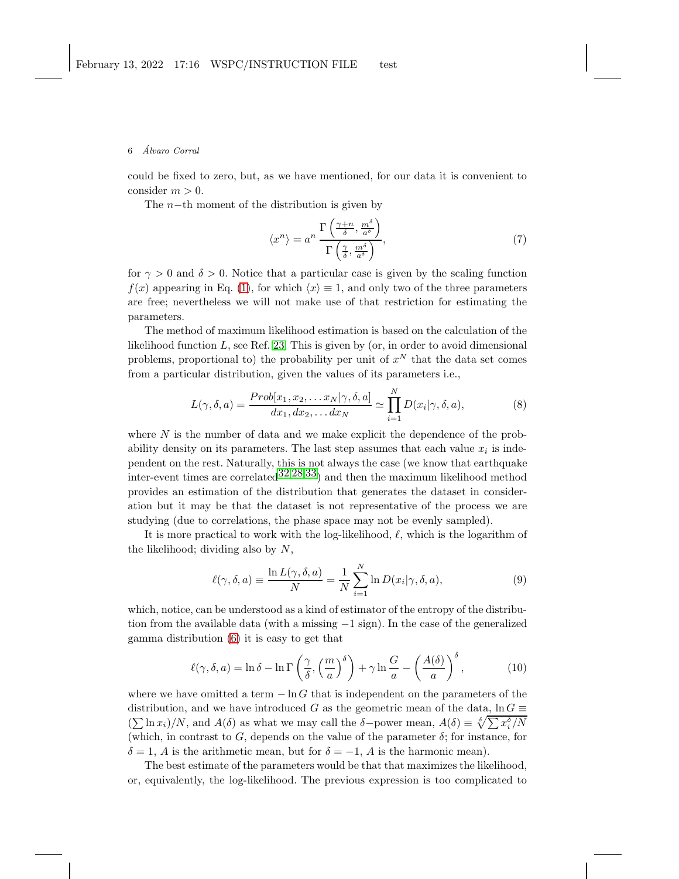### 6 Alvaro Corral ´

could be fixed to zero, but, as we have mentioned, for our data it is convenient to consider  $m > 0$ .

The  $n$ −th moment of the distribution is given by

$$
\langle x^n \rangle = a^n \frac{\Gamma\left(\frac{\gamma + n}{\delta}, \frac{m^\delta}{a^\delta}\right)}{\Gamma\left(\frac{\gamma}{\delta}, \frac{m^\delta}{a^\delta}\right)},\tag{7}
$$

for  $\gamma > 0$  and  $\delta > 0$ . Notice that a particular case is given by the scaling function  $f(x)$  appearing in Eq. [\(1\)](#page-0-0), for which  $\langle x \rangle \equiv 1$ , and only two of the three parameters are free; nevertheless we will not make use of that restriction for estimating the parameters.

The method of maximum likelihood estimation is based on the calculation of the likelihood function  $L$ , see Ref. [23.](#page-11-4) This is given by (or, in order to avoid dimensional problems, proportional to) the probability per unit of  $x^N$  that the data set comes from a particular distribution, given the values of its parameters i.e.,

$$
L(\gamma, \delta, a) = \frac{Prob[x_1, x_2, \dots x_N | \gamma, \delta, a]}{dx_1, dx_2, \dots dx_N} \simeq \prod_{i=1}^N D(x_i | \gamma, \delta, a), \tag{8}
$$

where  $N$  is the number of data and we make explicit the dependence of the probability density on its parameters. The last step assumes that each value  $x_i$  is independent on the rest. Naturally, this is not always the case (we know that earthquake inter-event times are correlated  $32,28,33$  $32,28,33$  $32,28,33$ ) and then the maximum likelihood method provides an estimation of the distribution that generates the dataset in consideration but it may be that the dataset is not representative of the process we are studying (due to correlations, the phase space may not be evenly sampled).

It is more practical to work with the log-likelihood,  $\ell$ , which is the logarithm of the likelihood; dividing also by  $N$ ,

$$
\ell(\gamma, \delta, a) \equiv \frac{\ln L(\gamma, \delta, a)}{N} = \frac{1}{N} \sum_{i=1}^{N} \ln D(x_i | \gamma, \delta, a), \tag{9}
$$

which, notice, can be understood as a kind of estimator of the entropy of the distribution from the available data (with a missing −1 sign). In the case of the generalized gamma distribution [\(6\)](#page-4-0) it is easy to get that

<span id="page-5-0"></span>
$$
\ell(\gamma, \delta, a) = \ln \delta - \ln \Gamma \left( \frac{\gamma}{\delta}, \left( \frac{m}{a} \right)^{\delta} \right) + \gamma \ln \frac{G}{a} - \left( \frac{A(\delta)}{a} \right)^{\delta},\tag{10}
$$

where we have omitted a term  $-\ln G$  that is independent on the parameters of the distribution, and we have introduced G as the geometric mean of the data,  $\ln G \equiv$  $(\sum \ln x_i)/N$ , and  $A(\delta)$  as what we may call the δ−power mean,  $A(\delta) \equiv \sqrt[\delta]{\sum x_i^{\delta}}/N$ (which, in contrast to  $G$ , depends on the value of the parameter  $\delta$ ; for instance, for  $\delta = 1$ , A is the arithmetic mean, but for  $\delta = -1$ , A is the harmonic mean).

The best estimate of the parameters would be that that maximizes the likelihood, or, equivalently, the log-likelihood. The previous expression is too complicated to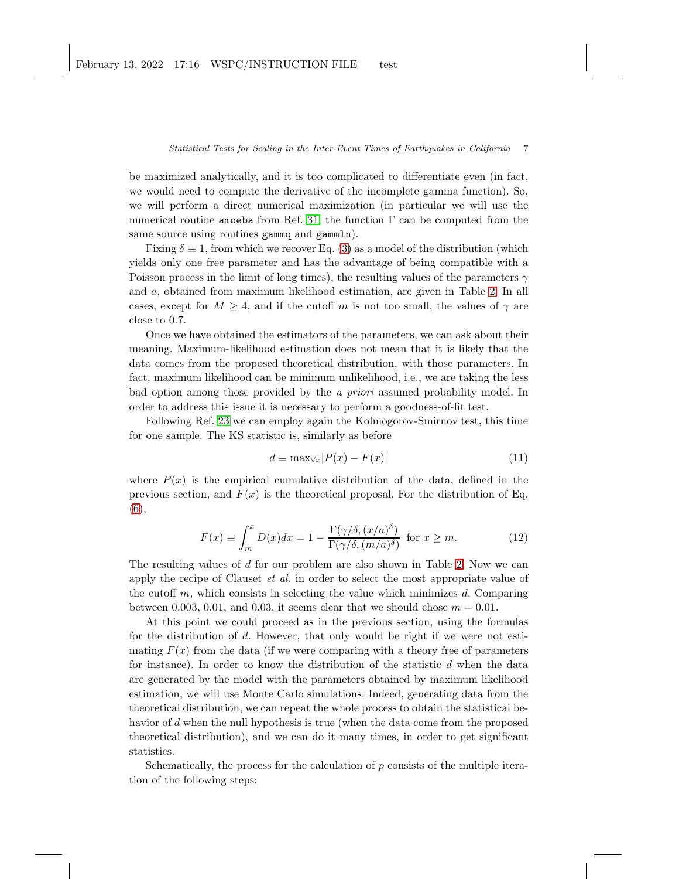be maximized analytically, and it is too complicated to differentiate even (in fact, we would need to compute the derivative of the incomplete gamma function). So, we will perform a direct numerical maximization (in particular we will use the numerical routine amoeba from Ref. [31;](#page-11-12) the function  $\Gamma$  can be computed from the same source using routines gammq and gammln).

Fixing  $\delta \equiv 1$ , from which we recover Eq. [\(3\)](#page-1-0) as a model of the distribution (which yields only one free parameter and has the advantage of being compatible with a Poisson process in the limit of long times), the resulting values of the parameters  $\gamma$ and a, obtained from maximum likelihood estimation, are given in Table [2.](#page-12-1) In all cases, except for  $M \geq 4$ , and if the cutoff m is not too small, the values of  $\gamma$  are close to 0.7.

Once we have obtained the estimators of the parameters, we can ask about their meaning. Maximum-likelihood estimation does not mean that it is likely that the data comes from the proposed theoretical distribution, with those parameters. In fact, maximum likelihood can be minimum unlikelihood, i.e., we are taking the less bad option among those provided by the a priori assumed probability model. In order to address this issue it is necessary to perform a goodness-of-fit test.

Following Ref. [23](#page-11-4) we can employ again the Kolmogorov-Smirnov test, this time for one sample. The KS statistic is, similarly as before

$$
d \equiv \max_{\forall x} |P(x) - F(x)| \tag{11}
$$

where  $P(x)$  is the empirical cumulative distribution of the data, defined in the previous section, and  $F(x)$  is the theoretical proposal. For the distribution of Eq. [\(6\)](#page-4-0),

<span id="page-6-0"></span>
$$
F(x) \equiv \int_{m}^{x} D(x)dx = 1 - \frac{\Gamma(\gamma/\delta, (x/a)^{\delta})}{\Gamma(\gamma/\delta, (m/a)^{\delta})} \text{ for } x \ge m.
$$
 (12)

The resulting values of  $d$  for our problem are also shown in Table [2.](#page-12-1) Now we can apply the recipe of Clauset *et al.* in order to select the most appropriate value of the cutoff  $m$ , which consists in selecting the value which minimizes  $d$ . Comparing between 0.003, 0.01, and 0.03, it seems clear that we should chose  $m = 0.01$ .

At this point we could proceed as in the previous section, using the formulas for the distribution of d. However, that only would be right if we were not estimating  $F(x)$  from the data (if we were comparing with a theory free of parameters for instance). In order to know the distribution of the statistic  $d$  when the data are generated by the model with the parameters obtained by maximum likelihood estimation, we will use Monte Carlo simulations. Indeed, generating data from the theoretical distribution, we can repeat the whole process to obtain the statistical behavior of d when the null hypothesis is true (when the data come from the proposed theoretical distribution), and we can do it many times, in order to get significant statistics.

Schematically, the process for the calculation of  $p$  consists of the multiple iteration of the following steps: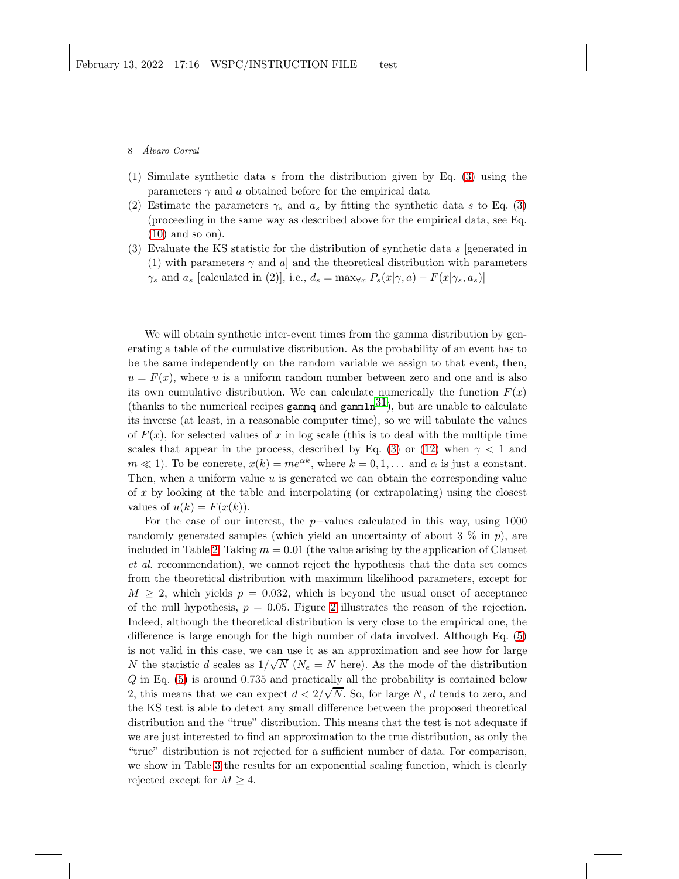8 *Alvaro Corral* 

- (1) Simulate synthetic data s from the distribution given by Eq. [\(3\)](#page-1-0) using the parameters  $\gamma$  and a obtained before for the empirical data
- (2) Estimate the parameters  $\gamma_s$  and  $a_s$  by fitting the synthetic data s to Eq. [\(3\)](#page-1-0) (proceeding in the same way as described above for the empirical data, see Eq. [\(10\)](#page-5-0) and so on).
- (3) Evaluate the KS statistic for the distribution of synthetic data s [generated in (1) with parameters  $\gamma$  and a] and the theoretical distribution with parameters  $\gamma_s$  and  $a_s$  [calculated in (2)], i.e.,  $d_s = \max_{\forall x} |P_s(x|\gamma, a) - F(x|\gamma_s, a_s)|$

We will obtain synthetic inter-event times from the gamma distribution by generating a table of the cumulative distribution. As the probability of an event has to be the same independently on the random variable we assign to that event, then,  $u = F(x)$ , where u is a uniform random number between zero and one and is also its own cumulative distribution. We can calculate numerically the function  $F(x)$ (thanks to the numerical recipes gammq and gammln<sup>31</sup>), but are unable to calculate its inverse (at least, in a reasonable computer time), so we will tabulate the values of  $F(x)$ , for selected values of x in log scale (this is to deal with the multiple time scales that appear in the process, described by Eq. [\(3\)](#page-1-0) or [\(12\)](#page-6-0) when  $\gamma$  < 1 and  $m \ll 1$ ). To be concrete,  $x(k) = me^{\alpha k}$ , where  $k = 0, 1, \ldots$  and  $\alpha$  is just a constant. Then, when a uniform value  $u$  is generated we can obtain the corresponding value of  $x$  by looking at the table and interpolating (or extrapolating) using the closest values of  $u(k) = F(x(k))$ .

For the case of our interest, the p–values calculated in this way, using  $1000$ randomly generated samples (which yield an uncertainty of about 3  $\%$  in p), are included in Table [2.](#page-12-1) Taking  $m = 0.01$  (the value arising by the application of Clauset et al. recommendation), we cannot reject the hypothesis that the data set comes from the theoretical distribution with maximum likelihood parameters, except for  $M > 2$ , which yields  $p = 0.032$ , which is beyond the usual onset of acceptance of the null hypothesis,  $p = 0.05$ . Figure [2](#page-10-3) illustrates the reason of the rejection. Indeed, although the theoretical distribution is very close to the empirical one, the difference is large enough for the high number of data involved. Although Eq. [\(5\)](#page-3-0) is not valid in this case, we can use it as an approximation and see how for large N the statistic d scales as  $1/\sqrt{N}$  ( $N_e = N$  here). As the mode of the distribution Q in Eq. [\(5\)](#page-3-0) is around 0.735 and practically all the probability is contained below 2, this means that we can expect  $d < 2/\sqrt{N}$ . So, for large N, d tends to zero, and the KS test is able to detect any small difference between the proposed theoretical distribution and the "true" distribution. This means that the test is not adequate if we are just interested to find an approximation to the true distribution, as only the "true" distribution is not rejected for a sufficient number of data. For comparison, we show in Table [3](#page-13-0) the results for an exponential scaling function, which is clearly rejected except for  $M \geq 4$ .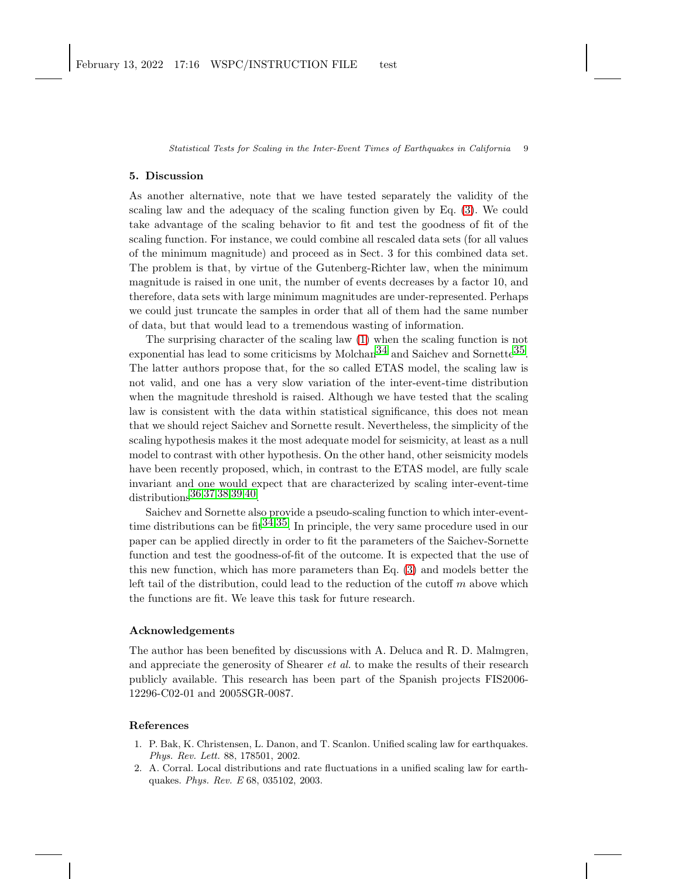### 5. Discussion

As another alternative, note that we have tested separately the validity of the scaling law and the adequacy of the scaling function given by Eq. [\(3\)](#page-1-0). We could take advantage of the scaling behavior to fit and test the goodness of fit of the scaling function. For instance, we could combine all rescaled data sets (for all values of the minimum magnitude) and proceed as in Sect. 3 for this combined data set. The problem is that, by virtue of the Gutenberg-Richter law, when the minimum magnitude is raised in one unit, the number of events decreases by a factor 10, and therefore, data sets with large minimum magnitudes are under-represented. Perhaps we could just truncate the samples in order that all of them had the same number of data, but that would lead to a tremendous wasting of information.

The surprising character of the scaling law [\(1\)](#page-0-0) when the scaling function is not exponential has lead to some criticisms by Molchan<sup>34</sup> and Saichev and Sornette<sup>35</sup>. The latter authors propose that, for the so called ETAS model, the scaling law is not valid, and one has a very slow variation of the inter-event-time distribution when the magnitude threshold is raised. Although we have tested that the scaling law is consistent with the data within statistical significance, this does not mean that we should reject Saichev and Sornette result. Nevertheless, the simplicity of the scaling hypothesis makes it the most adequate model for seismicity, at least as a null model to contrast with other hypothesis. On the other hand, other seismicity models have been recently proposed, which, in contrast to the ETAS model, are fully scale invariant and one would expect that are characterized by scaling inter-event-time distributions[36](#page-11-17),[37](#page-11-18),[38](#page-11-19),[39](#page-11-20),[40.](#page-11-21)

Saichev and Sornette also provide a pseudo-scaling function to which inter-eventtime distributions can be fit  $34,35$ . In principle, the very same procedure used in our paper can be applied directly in order to fit the parameters of the Saichev-Sornette function and test the goodness-of-fit of the outcome. It is expected that the use of this new function, which has more parameters than Eq. [\(3\)](#page-1-0) and models better the left tail of the distribution, could lead to the reduction of the cutoff  $m$  above which the functions are fit. We leave this task for future research.

### Acknowledgements

The author has been benefited by discussions with A. Deluca and R. D. Malmgren, and appreciate the generosity of Shearer et al. to make the results of their research publicly available. This research has been part of the Spanish projects FIS2006- 12296-C02-01 and 2005SGR-0087.

### <span id="page-8-0"></span>References

- 1. P. Bak, K. Christensen, L. Danon, and T. Scanlon. Unified scaling law for earthquakes. *Phys. Rev. Lett.* 88, 178501, 2002.
- <span id="page-8-1"></span>2. A. Corral. Local distributions and rate fluctuations in a unified scaling law for earthquakes. *Phys. Rev. E* 68, 035102, 2003.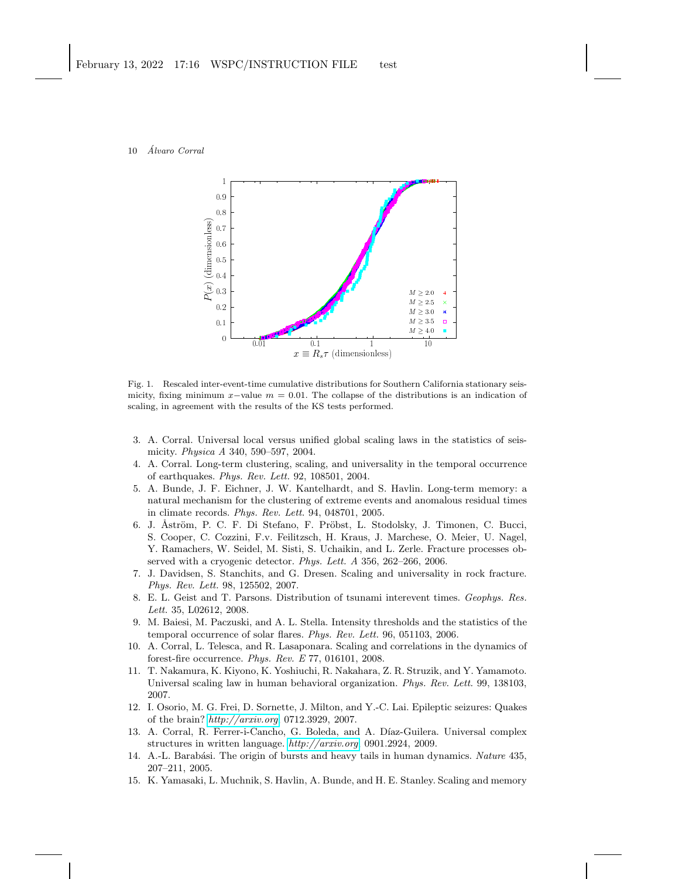#### 10 *Álvaro Corral*



<span id="page-9-13"></span>Fig. 1. Rescaled inter-event-time cumulative distributions for Southern California stationary seismicity, fixing minimum  $x$ -value  $m = 0.01$ . The collapse of the distributions is an indication of scaling, in agreement with the results of the KS tests performed.

- <span id="page-9-0"></span>3. A. Corral. Universal local versus unified global scaling laws in the statistics of seismicity. *Physica A* 340, 590–597, 2004.
- <span id="page-9-1"></span>4. A. Corral. Long-term clustering, scaling, and universality in the temporal occurrence of earthquakes. *Phys. Rev. Lett.* 92, 108501, 2004.
- <span id="page-9-2"></span>5. A. Bunde, J. F. Eichner, J. W. Kantelhardt, and S. Havlin. Long-term memory: a natural mechanism for the clustering of extreme events and anomalous residual times in climate records. *Phys. Rev. Lett.* 94, 048701, 2005.
- <span id="page-9-3"></span>6. J. Åström, P. C. F. Di Stefano, F. Pröbst, L. Stodolsky, J. Timonen, C. Bucci, S. Cooper, C. Cozzini, F.v. Feilitzsch, H. Kraus, J. Marchese, O. Meier, U. Nagel, Y. Ramachers, W. Seidel, M. Sisti, S. Uchaikin, and L. Zerle. Fracture processes observed with a cryogenic detector. *Phys. Lett. A* 356, 262–266, 2006.
- <span id="page-9-4"></span>7. J. Davidsen, S. Stanchits, and G. Dresen. Scaling and universality in rock fracture. *Phys. Rev. Lett.* 98, 125502, 2007.
- <span id="page-9-5"></span>8. E. L. Geist and T. Parsons. Distribution of tsunami interevent times. *Geophys. Res. Lett.* 35, L02612, 2008.
- <span id="page-9-6"></span>9. M. Baiesi, M. Paczuski, and A. L. Stella. Intensity thresholds and the statistics of the temporal occurrence of solar flares. *Phys. Rev. Lett.* 96, 051103, 2006.
- <span id="page-9-7"></span>10. A. Corral, L. Telesca, and R. Lasaponara. Scaling and correlations in the dynamics of forest-fire occurrence. *Phys. Rev. E* 77, 016101, 2008.
- <span id="page-9-8"></span>11. T. Nakamura, K. Kiyono, K. Yoshiuchi, R. Nakahara, Z. R. Struzik, and Y. Yamamoto. Universal scaling law in human behavioral organization. *Phys. Rev. Lett.* 99, 138103, 2007.
- <span id="page-9-9"></span>12. I. Osorio, M. G. Frei, D. Sornette, J. Milton, and Y.-C. Lai. Epileptic seizures: Quakes of the brain? *<http://arxiv.org>*, 0712.3929, 2007.
- <span id="page-9-10"></span>13. A. Corral, R. Ferrer-i-Cancho, G. Boleda, and A. Díaz-Guilera. Universal complex structures in written language. *<http://arxiv.org>*, 0901.2924, 2009.
- <span id="page-9-11"></span>14. A.-L. Barab´asi. The origin of bursts and heavy tails in human dynamics. *Nature* 435, 207–211, 2005.
- <span id="page-9-12"></span>15. K. Yamasaki, L. Muchnik, S. Havlin, A. Bunde, and H. E. Stanley. Scaling and memory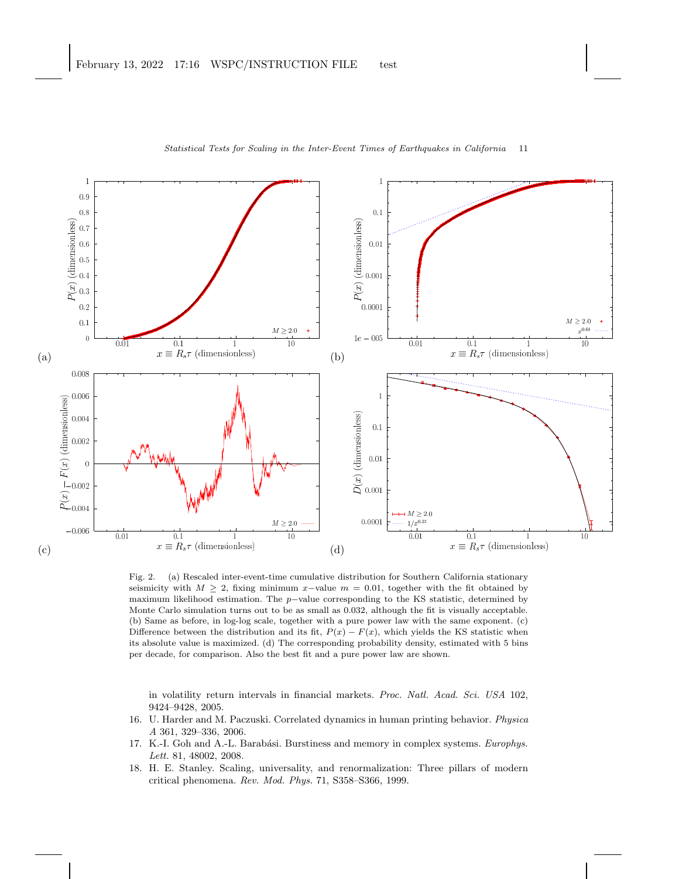

<span id="page-10-3"></span>Fig. 2. (a) Rescaled inter-event-time cumulative distribution for Southern California stationary seismicity with  $M \geq 2$ , fixing minimum x-value  $m = 0.01$ , together with the fit obtained by maximum likelihood estimation. The p−value corresponding to the KS statistic, determined by Monte Carlo simulation turns out to be as small as 0.032, although the fit is visually acceptable. (b) Same as before, in log-log scale, together with a pure power law with the same exponent. (c) Difference between the distribution and its fit,  $P(x) - F(x)$ , which yields the KS statistic when its absolute value is maximized. (d) The corresponding probability density, estimated with 5 bins per decade, for comparison. Also the best fit and a pure power law are shown.

in volatility return intervals in financial markets. *Proc. Natl. Acad. Sci. USA* 102, 9424–9428, 2005.

- <span id="page-10-0"></span>16. U. Harder and M. Paczuski. Correlated dynamics in human printing behavior. *Physica A* 361, 329–336, 2006.
- <span id="page-10-1"></span>17. K.-I. Goh and A.-L. Barabási. Burstiness and memory in complex systems. *Europhys*. *Lett.* 81, 48002, 2008.
- <span id="page-10-2"></span>18. H. E. Stanley. Scaling, universality, and renormalization: Three pillars of modern critical phenomena. *Rev. Mod. Phys.* 71, S358–S366, 1999.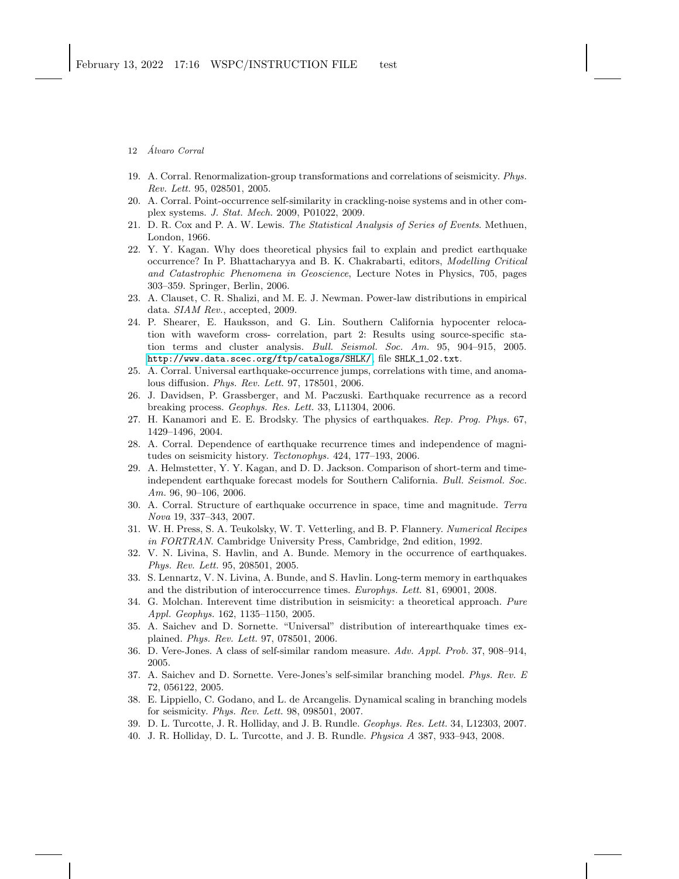12 *Álvaro Corral* 

- <span id="page-11-1"></span><span id="page-11-0"></span>19. A. Corral. Renormalization-group transformations and correlations of seismicity. *Phys. Rev. Lett.* 95, 028501, 2005.
- <span id="page-11-2"></span>20. A. Corral. Point-occurrence self-similarity in crackling-noise systems and in other complex systems. *J. Stat. Mech.* 2009, P01022, 2009.
- <span id="page-11-3"></span>21. D. R. Cox and P. A. W. Lewis. *The Statistical Analysis of Series of Events*. Methuen, London, 1966.
- 22. Y. Y. Kagan. Why does theoretical physics fail to explain and predict earthquake occurrence? In P. Bhattacharyya and B. K. Chakrabarti, editors, *Modelling Critical and Catastrophic Phenomena in Geoscience*, Lecture Notes in Physics, 705, pages 303–359. Springer, Berlin, 2006.
- <span id="page-11-4"></span>23. A. Clauset, C. R. Shalizi, and M. E. J. Newman. Power-law distributions in empirical data. *SIAM Rev.*, accepted, 2009.
- <span id="page-11-5"></span>24. P. Shearer, E. Hauksson, and G. Lin. Southern California hypocenter relocation with waveform cross- correlation, part 2: Results using source-specific station terms and cluster analysis. *Bull. Seismol. Soc. Am.* 95, 904–915, 2005. <http://www.data.scec.org/ftp/catalogs/SHLK/>, file SHLK 1 02.txt.
- <span id="page-11-6"></span>25. A. Corral. Universal earthquake-occurrence jumps, correlations with time, and anomalous diffusion. *Phys. Rev. Lett.* 97, 178501, 2006.
- <span id="page-11-7"></span>26. J. Davidsen, P. Grassberger, and M. Paczuski. Earthquake recurrence as a record breaking process. *Geophys. Res. Lett.* 33, L11304, 2006.
- <span id="page-11-8"></span>27. H. Kanamori and E. E. Brodsky. The physics of earthquakes. *Rep. Prog. Phys.* 67, 1429–1496, 2004.
- <span id="page-11-9"></span>28. A. Corral. Dependence of earthquake recurrence times and independence of magnitudes on seismicity history. *Tectonophys.* 424, 177–193, 2006.
- <span id="page-11-10"></span>29. A. Helmstetter, Y. Y. Kagan, and D. D. Jackson. Comparison of short-term and timeindependent earthquake forecast models for Southern California. *Bull. Seismol. Soc. Am.* 96, 90–106, 2006.
- <span id="page-11-11"></span>30. A. Corral. Structure of earthquake occurrence in space, time and magnitude. *Terra Nova* 19, 337–343, 2007.
- <span id="page-11-12"></span>31. W. H. Press, S. A. Teukolsky, W. T. Vetterling, and B. P. Flannery. *Numerical Recipes in FORTRAN*. Cambridge University Press, Cambridge, 2nd edition, 1992.
- <span id="page-11-13"></span>32. V. N. Livina, S. Havlin, and A. Bunde. Memory in the occurrence of earthquakes. *Phys. Rev. Lett.* 95, 208501, 2005.
- <span id="page-11-14"></span>33. S. Lennartz, V. N. Livina, A. Bunde, and S. Havlin. Long-term memory in earthquakes and the distribution of interoccurrence times. *Europhys. Lett.* 81, 69001, 2008.
- <span id="page-11-15"></span>34. G. Molchan. Interevent time distribution in seismicity: a theoretical approach. *Pure Appl. Geophys.* 162, 1135–1150, 2005.
- <span id="page-11-16"></span>35. A. Saichev and D. Sornette. "Universal" distribution of interearthquake times explained. *Phys. Rev. Lett.* 97, 078501, 2006.
- <span id="page-11-18"></span><span id="page-11-17"></span>36. D. Vere-Jones. A class of self-similar random measure. *Adv. Appl. Prob.* 37, 908–914, 2005.
- 37. A. Saichev and D. Sornette. Vere-Jones's self-similar branching model. *Phys. Rev. E* 72, 056122, 2005.
- <span id="page-11-19"></span>38. E. Lippiello, C. Godano, and L. de Arcangelis. Dynamical scaling in branching models for seismicity. *Phys. Rev. Lett.* 98, 098501, 2007.
- <span id="page-11-21"></span><span id="page-11-20"></span>39. D. L. Turcotte, J. R. Holliday, and J. B. Rundle. *Geophys. Res. Lett.* 34, L12303, 2007.
- 40. J. R. Holliday, D. L. Turcotte, and J. B. Rundle. *Physica A* 387, 933–943, 2008.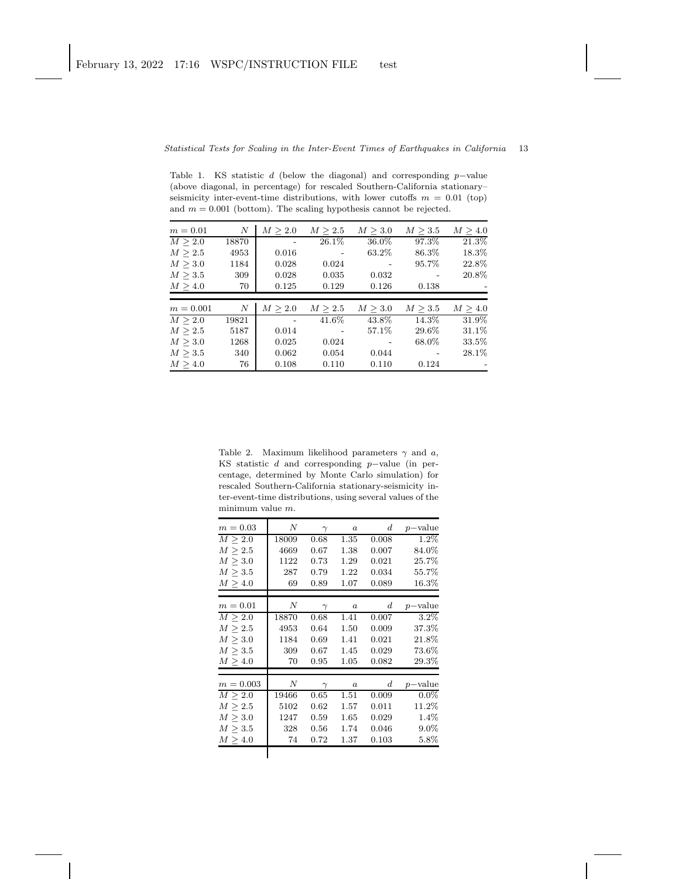<span id="page-12-0"></span>Table 1. KS statistic d (below the diagonal) and corresponding p−value (above diagonal, in percentage) for rescaled Southern-California stationary– seismicity inter-event-time distributions, with lower cutoffs  $m = 0.01$  (top) and  $m = 0.001$  (bottom). The scaling hypothesis cannot be rejected.

| $m = 0.01$   | N     | M > 2.0 | M > 2.5 | M > 3.0      | M > 3.5      | M > 4.0 |
|--------------|-------|---------|---------|--------------|--------------|---------|
| M > 2.0      | 18870 |         | 26.1%   | 36.0%        | 97.3%        | 21.3%   |
| M > 2.5      | 4953  | 0.016   |         | 63.2%        | 86.3%        | 18.3%   |
| $M \geq 3.0$ | 1184  | 0.028   | 0.024   |              | 95.7%        | 22.8%   |
| $M \geq 3.5$ | 309   | 0.028   | 0.035   | 0.032        |              | 20.8%   |
| $M \geq 4.0$ | 70    | 0.125   | 0.129   | 0.126        | 0.138        |         |
|              |       |         |         |              |              |         |
| $m = 0.001$  | N     | M > 2.0 | M > 2.5 | $M \geq 3.0$ | $M \geq 3.5$ | M > 4.0 |
| M > 2.0      | 19821 |         | 41.6%   | 43.8%        | 14.3%        | 31.9%   |
|              |       |         |         |              |              |         |
| $M \geq 2.5$ | 5187  | 0.014   |         | 57.1\%       | 29.6%        | 31.1%   |
| $M \geq 3.0$ | 1268  | 0.025   | 0.024   |              | 68.0%        | 33.5%   |
| $M \geq 3.5$ | 340   | 0.062   | 0.054   | 0.044        |              | 28.1%   |

<span id="page-12-1"></span>Table 2. Maximum likelihood parameters  $\gamma$  and  $a$ , KS statistic d and corresponding p−value (in percentage, determined by Monte Carlo simulation) for rescaled Southern-California stationary-seismicity inter-event-time distributions, using several values of the minimum value  $m$ .

| $m=0.03$     | $\boldsymbol{N}$ | $\gamma$ | $\boldsymbol{a}$ | $_{d}$           | $p$ -value |
|--------------|------------------|----------|------------------|------------------|------------|
| M > 2.0      | 18009            | 0.68     | 1.35             | 0.008            | 1.2%       |
| $M \geq 2.5$ | 4669             | 0.67     | 1.38             | 0.007            | $84.0\%$   |
| M > 3.0      | 1122             | 0.73     | 1.29             | 0.021            | 25.7%      |
| M > 3.5      | 287              | 0.79     | 1.22             | 0.034            | 55.7%      |
| M > 4.0      | 69               | 0.89     | 1.07             | 0.089            | 16.3%      |
|              |                  |          |                  |                  |            |
| $m = 0.01$   | N                | $\gamma$ | $\boldsymbol{a}$ | $\boldsymbol{d}$ | $p$ -value |
| M > 2.0      | 18870            | 0.68     | 1.41             | 0.007            | 3.2%       |
| M > 2.5      | 4953             | 0.64     | 1.50             | 0.009            | 37.3%      |
| $M \geq 3.0$ | 1184             | 0.69     | 1.41             | 0.021            | 21.8%      |
| M > 3.5      | 309              | 0.67     | 1.45             | 0.029            | 73.6%      |
| M > 4.0      | 70               | 0.95     | 1.05             | 0.082            | $29.3\%$   |
|              |                  |          |                  |                  |            |
| $m = 0.003$  | N                | $\gamma$ | $\boldsymbol{a}$ | $\boldsymbol{d}$ | $p$ -value |
| M > 2.0      | 19466            | 0.65     | 1.51             | 0.009            | $0.0\%$    |
| M > 2.5      | 5102             | 0.62     | 1.57             | 0.011            | 11.2%      |
| M > 3.0      | 1247             | 0.59     | 1.65             | 0.029            | 1.4%       |
| M > 3.5      | 328              | 0.56     | 1.74             | 0.046            | $9.0\%$    |
| M > 4.0      | 74               | 0.72     | 1.37             | 0.103            | $5.8\%$    |
|              |                  |          |                  |                  |            |
|              |                  |          |                  |                  |            |